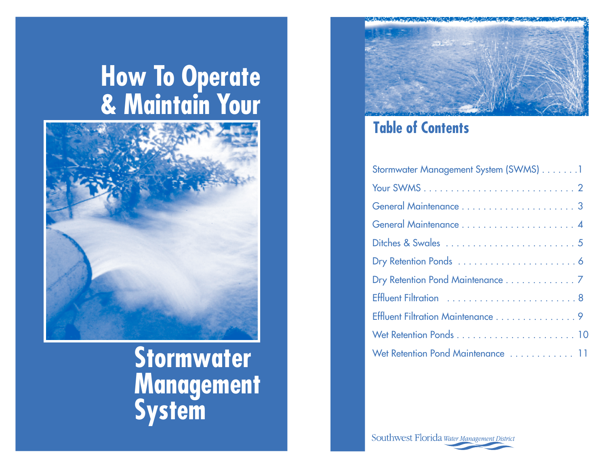# **How To Operate<br>& Maintain Your**



Stormwater **Management**<br>System



# **Table of Contents**

| Stormwater Management System (SWMS) 1 |
|---------------------------------------|
|                                       |
|                                       |
|                                       |
|                                       |
|                                       |
| Dry Retention Pond Maintenance 7      |
| Effluent Filtration 8                 |
| Effluent Filtration Maintenance 9     |
|                                       |
| Wet Retention Pond Maintenance  11    |

Southwest Florida Water Management District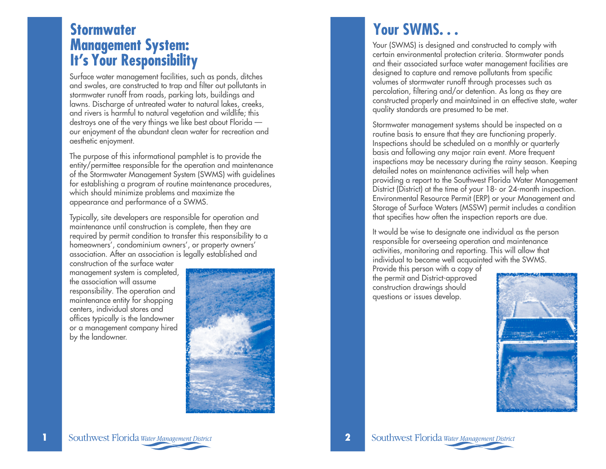# *<u>Stormwater</u>* **Management System: It's Your Responsibility**

Surface water management facilities, such as ponds, ditches and swales, are constructed to trap and filter out pollutants in stormwater runoff from roads, parking lots, buildings and lawns. Discharge of untreated water to natural lakes, creeks, and rivers is harmful to natural vegetation and wildlife; this destroys one of the very things we like best about Florida our enjoyment of the abundant clean water for recreation and aesthetic enjoyment.

The purpose of this informational pamphlet is to provide the entity/permittee responsible for the operation and maintenance of the Stormwater Management System (SWMS) with guidelines for establishing a program of routine maintenance procedures, which should minimize problems and maximize the appearance and performance of a SWMS.

Typically, site developers are responsible for operation and maintenance until construction is complete, then they are required by permit condition to transfer this responsibility to a homeowners', condominium owners', or property owners' association. After an association is legally established and

construction of the surface water management system is completed, the association will assume responsibility. The operation and maintenance entity for shopping centers, individual stores and offices typically is the landowner or a management company hired by the landowner.



# **Your SWMS. . .**

Your (SWMS) is designed and constructed to comply with certain environmental protection criteria. Stormwater ponds and their associated surface water management facilities are designed to capture and remove pollutants from specific volumes of stormwater runoff through processes such as percolation, filtering and/or detention. As long as they are constructed properly and maintained in an effective state, water quality standards are presumed to be met.

Stormwater management systems should be inspected on a routine basis to ensure that they are functioning properly. Inspections should be scheduled on a monthly or quarterly basis and following any major rain event. More frequent inspections may be necessary during the rainy season. Keeping detailed notes on maintenance activities will help when providing a report to the Southwest Florida Water Management District (District) at the time of your 18- or 24-month inspection. Environmental Resource Permit (ERP) or your Management and Storage of Surface Waters (MSSW) permit includes a condition that specifies how often the inspection reports are due.

It would be wise to designate one individual as the person responsible for overseeing operation and maintenance activities, monitoring and reporting. This will allow that individual to become well acquainted with the SWMS.

Provide this person with a copy of the permit and District-approved construction drawings should questions or issues develop.

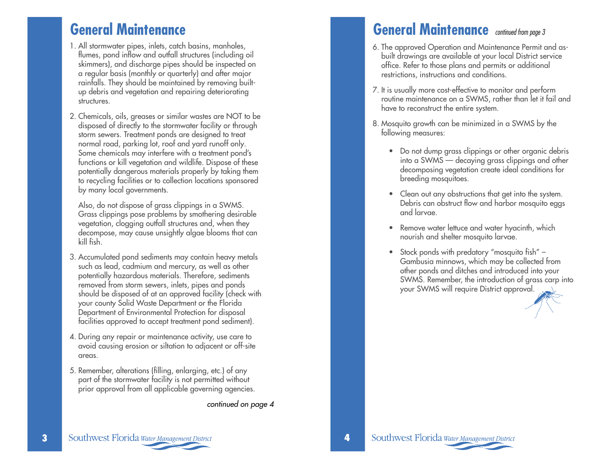# **General Maintenance**

- 1. All stormwater pipes, inlets, catch basins, manholes, flumes, pond inflow and outfall structures (including oil skimmers), and discharge pipes should be inspected on a regular basis (monthly or quarterly) and after major rainfalls. They should be maintained by removing builtup debris and vegetation and repairing deteriorating structures.
- 2. Chemicals, oils, greases or similar wastes are NOT to be disposed of directly to the stormwater facility or through storm sewers. Treatment ponds are designed to treat normal road, parking lot, roof and yard runoff only. Some chemicals may interfere with a treatment pond's functions or kill vegetation and wildlife. Dispose of these potentially dangerous materials properly by taking them to recycling facilities or to collection locations sponsored by many local governments.

Also, do not dispose of grass clippings in a SWMS. Grass clippings pose problems by smothering desirable vegetation, clogging outfall structures and, when they decompose, may cause unsightly algae blooms that can kill fish.

- 3. Accumulated pond sediments may contain heavy metals such as lead, cadmium and mercury, as well as other potentially hazardous materials. Therefore, sediments removed from storm sewers, inlets, pipes and ponds should be disposed of at an approved facility (check with your county Solid Waste Department or the Florida Department of Environmental Protection for disposal facilities approved to accept treatment pond sediment).
- 4. During any repair or maintenance activity, use care to avoid causing erosion or siltation to adjacent or off-site areas.
- 5. Remember, alterations (filling, enlarging, etc.) of any part of the stormwater facility is not permitted without prior approval from all applicable governing agencies.

*continued on page 4*

# General Maintenance continued from page 3

- 6. The approved Operation and Maintenance Permit and asbuilt drawings are available at your local District service office. Refer to those plans and permits or additional restrictions, instructions and conditions.
- 7. It is usually more cost-effective to monitor and perform routine maintenance on a SWMS, rather than let it fail and have to reconstruct the entire system.
- 8. Mosquito growth can be minimized in a SWMS by the following measures:
	- Do not dump grass clippings or other organic debris into a SWMS — decaying grass clippings and other decomposing vegetation create ideal conditions for breeding mosquitoes.
	- Clean out any obstructions that get into the system. Debris can obstruct flow and harbor mosquito eggs and larvae.
	- Remove water lettuce and water hyacinth, which nourish and shelter mosquito larvae.
	- Stock ponds with predatory "mosquito fish" Gambusia minnows, which may be collected from other ponds and ditches and introduced into your SWMS. Remember, the introduction of grass carp into your SWMS will require District approval.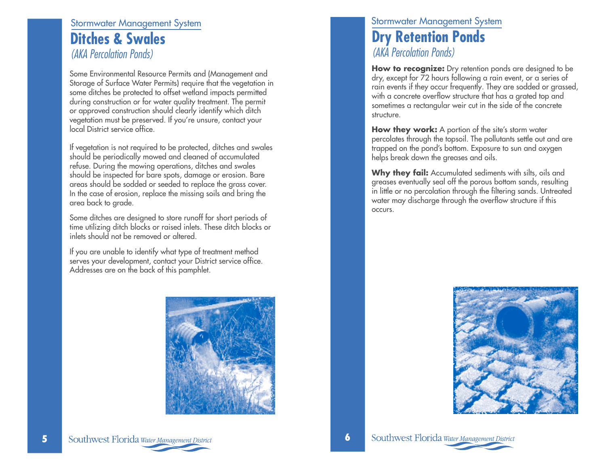## **Stormwater Management System Ditches & Swales** (AKA Percolation Ponds)

Some Environmental Resource Permits and (Management and Storage of Surface Water Permits) require that the vegetation in some ditches be protected to offset wetland impacts permitted during construction or for water quality treatment. The permit or approved construction should clearly identify which ditch vegetation must be preserved. If you're unsure, contact your local District service office.

If vegetation is not required to be protected, ditches and swales should be periodically mowed and cleaned of accumulated refuse. During the mowing operations, ditches and swales should be inspected for bare spots, damage or erosion. Bare areas should be sodded or seeded to replace the grass cover. In the case of erosion, replace the missing soils and bring the area back to grade.

Some ditches are designed to store runoff for short periods of time utilizing ditch blocks or raised inlets. These ditch blocks or inlets should not be removed or altered

If you are unable to identify what type of treatment method serves your development, contact your District service office. Addresses are on the back of this pamphlet.

## **Stormwater Management System Dry Retention Ponds** (AKA Percolation Ponds)

How to recognize: Dry retention ponds are designed to be dry, except for 72 hours following a rain event, or a series of rain events if they occur frequently. They are sodded or grassed, with a concrete overflow structure that has a grated top and sometimes a rectangular weir cut in the side of the concrete structure.

How they work: A portion of the site's storm water percolates through the topsoil. The pollutants settle out and are trapped on the pond's bottom. Exposure to sun and oxygen helps break down the greases and oils.

Why they fail: Accumulated sediments with silts, oils and greases eventually seal off the porous bottom sands, resulting in little or no percolation through the filtering sands. Untreated water may discharge through the overflow structure if this occurs.





Southwest Florida Water Management District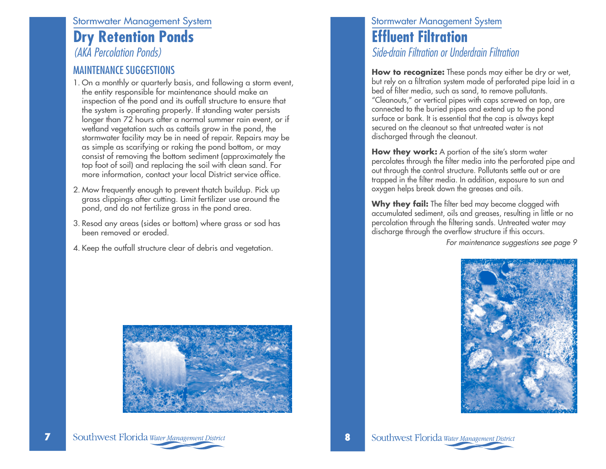#### **Stormwater Management System**

# **Dry Retention Ponds**

(AKA Percolation Ponds)

#### **MAINTENANCE SUGGESTIONS**

- 1. On a monthly or quarterly basis, and following a storm event, the entity responsible for maintenance should make an inspection of the pond and its outfall structure to ensure that the system is operating properly. If standing water persists longer than 72 hours after a normal summer rain event, or if wetland vegetation such as cattails grow in the pond, the stormwater facility may be in need of repair. Repairs may be as simple as scarifying or raking the pond bottom, or may consist of removing the bottom sediment (approximately the top foot of soil) and replacing the soil with clean sand. For more information, contact your local District service office.
- 2. Mow frequently enough to prevent thatch buildup. Pick up grass clippings after cutting. Limit fertilizer use around the pond, and do not fertilize grass in the pond area.
- 3. Resod any areas (sides or bottom) where grass or sod has been removed or eroded.
- 4. Keep the outfall structure clear of debris and vegetation.



#### **Stormwater Management System Effluent Filtration** Side-drain Filtration or Underdrain Filtration

How to recognize: These ponds may either be dry or wet, but rely on a filtration system made of perforated pipe laid in a bed of filter media, such as sand, to remove pollutants. "Cleanouts," or vertical pipes with caps screwed on top, are connected to the buried pipes and extend up to the pond surface or bank. It is essential that the cap is always kept secured on the cleanout so that untreated water is not discharged through the cleanout.

How they work: A portion of the site's storm water percolates through the filter media into the perforated pipe and out through the control structure. Pollutants settle out or are trapped in the filter media. In addition, exposure to sun and oxygen helps break down the greases and oils.

Why they fail: The filter bed may become clogged with accumulated sediment, oils and greases, resulting in little or no percolation through the filtering sands. Untreated water may discharge through the overflow structure if this occurs.

For maintenance suggestions see page 9



7

Southwest Florida Water Management District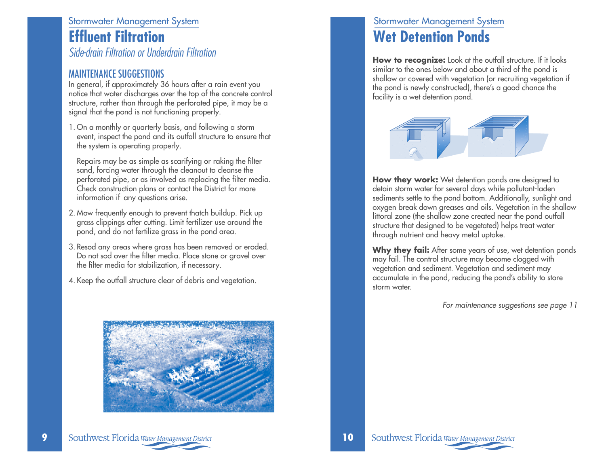#### **Stormwater Management System Effluent Filtration** Side-drain Filtration or Underdrain Filtration

**MAINTENANCE SUGGESTIONS** 

In general, if approximately 36 hours after a rain event you notice that water discharges over the top of the concrete control structure, rather than through the perforated pipe, it may be a signal that the pond is not functioning properly.

1. On a monthly or quarterly basis, and following a storm event, inspect the pond and its outfall structure to ensure that the system is operating properly.

Repairs may be as simple as scarifying or raking the filter sand, forcing water through the cleanout to cleanse the perforated pipe, or as involved as replacing the filter media. Check construction plans or contact the District for more information if any questions arise.

- 2. Mow frequently enough to prevent thatch buildup. Pick up grass clippings after cutting. Limit fertilizer use around the pond, and do not fertilize grass in the pond area.
- 3. Resod any areas where grass has been removed or eroded. Do not sod over the filter media. Place stone or gravel over the filter media for stabilization, if necessary.
- 4. Keep the outfall structure clear of debris and vegetation.



# **Stormwater Management System Wet Detention Ponds**

How to recognize: Look at the outfall structure. If it looks similar to the ones below and about a third of the pond is shallow or covered with vegetation (or recruiting vegetation if the pond is newly constructed), there's a good chance the facility is a wet detention pond.



How they work: Wet detention ponds are designed to detain storm water for several days while pollutant-laden sediments settle to the pond bottom. Additionally, sunlight and oxygen break down greases and oils. Vegetation in the shallow littoral zone (the shallow zone created near the pond outfall structure that designed to be vegetated) helps treat water through nutrient and heavy metal uptake.

Why they fail: After some years of use, wet detention ponds may fail. The control structure may become clogged with vegetation and sediment. Vegetation and sediment may accumulate in the pond, reducing the pond's ability to store storm water.

For maintenance suggestions see page 11